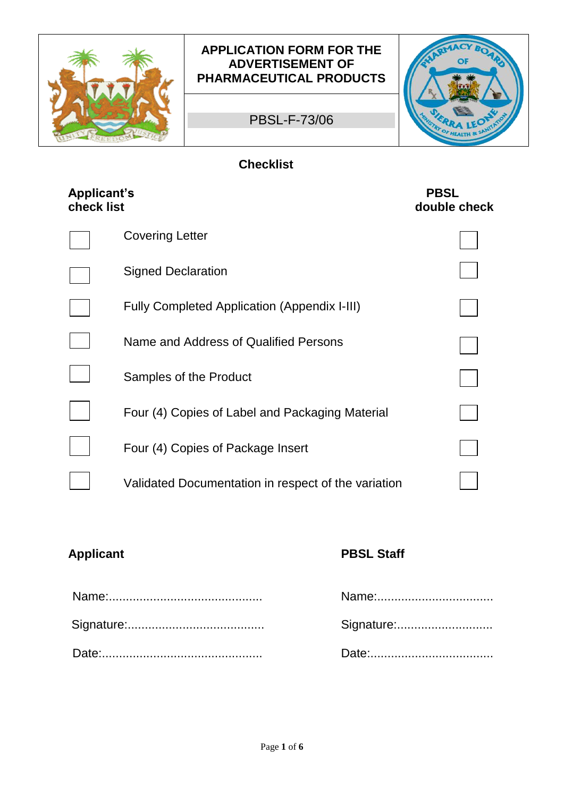

## **APPLICATION FORM FOR THE ADVERTISEMENT OF PHARMACEUTICAL PRODUCTS**

PBSL-F-73/06



# **Checklist**

| <b>Applicant's</b><br>check list |                                                     | <b>PBSL</b><br>double check |
|----------------------------------|-----------------------------------------------------|-----------------------------|
|                                  | <b>Covering Letter</b>                              |                             |
|                                  | <b>Signed Declaration</b>                           |                             |
|                                  | <b>Fully Completed Application (Appendix I-III)</b> |                             |
|                                  | Name and Address of Qualified Persons               |                             |
|                                  | Samples of the Product                              |                             |
|                                  | Four (4) Copies of Label and Packaging Material     |                             |
|                                  | Four (4) Copies of Package Insert                   |                             |
|                                  | Validated Documentation in respect of the variation |                             |

# **Applicant PBSL Staff**

| Signature: |
|------------|
|            |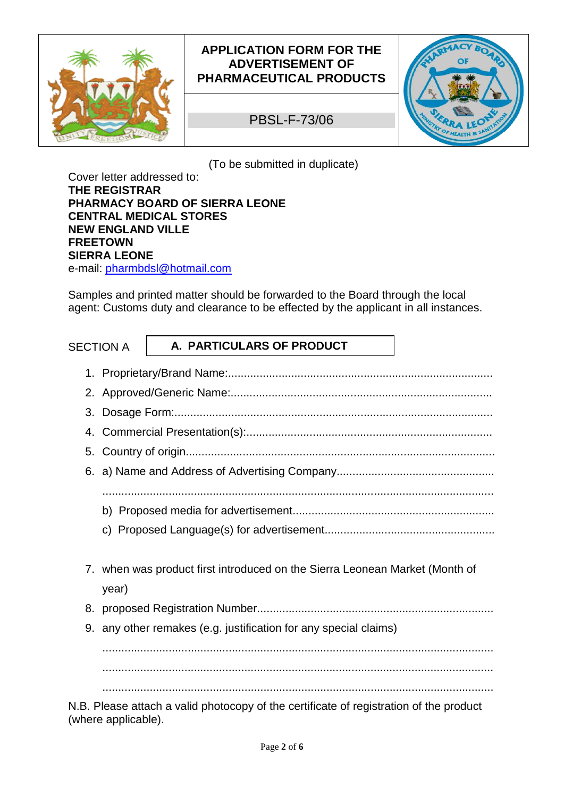

# **APPLICATION FORM FOR THE ADVERTISEMENT OF PHARMACEUTICAL PRODUCTS**

PBSL-F-73/06



(To be submitted in duplicate)

Cover letter addressed to: **THE REGISTRAR PHARMACY BOARD OF SIERRA LEONE CENTRAL MEDICAL STORES NEW ENGLAND VILLE FREETOWN SIERRA LEONE** e-mail: pharmbdsl@hotmail.com

Samples and printed matter should be forwarded to the Board through the local agent: Customs duty and clearance to be effected by the applicant in all instances.

|    | <b>SECTION A</b> | A. PARTICULARS OF PRODUCT                                                                                      |  |
|----|------------------|----------------------------------------------------------------------------------------------------------------|--|
|    |                  |                                                                                                                |  |
|    |                  |                                                                                                                |  |
|    |                  |                                                                                                                |  |
| 4. |                  |                                                                                                                |  |
|    |                  |                                                                                                                |  |
|    |                  |                                                                                                                |  |
|    |                  |                                                                                                                |  |
|    |                  |                                                                                                                |  |
|    |                  |                                                                                                                |  |
|    |                  |                                                                                                                |  |
|    |                  | 7. when was product first introduced on the Sierra Leonean Market (Month of                                    |  |
|    | year)            |                                                                                                                |  |
|    |                  |                                                                                                                |  |
|    |                  | 9. any other remakes (e.g. justification for any special claims)                                               |  |
|    |                  |                                                                                                                |  |
|    |                  |                                                                                                                |  |
|    |                  |                                                                                                                |  |
|    |                  | $\overline{AB}$ $\overline{DB}$ are attack a valid plate convention as office to at oscillation of the product |  |

N.B. Please attach a valid photocopy of the certificate of registration of the product (where applicable).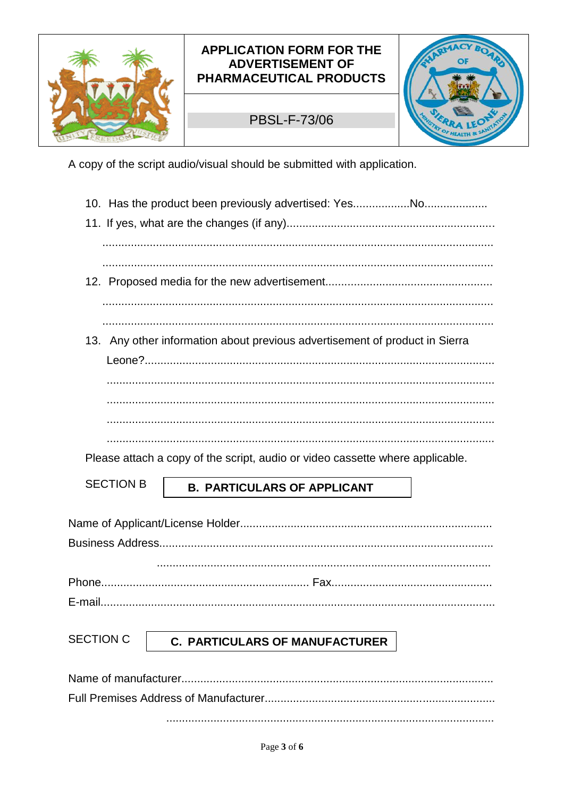

## **APPLICATION FORM FOR THE ADVERTISEMENT OF** PHARMACEUTICAL PRODUCTS

# **PBSL-F-73/06**



A copy of the script audio/visual should be submitted with application.

|                      | 13. Any other information about previous advertisement of product in Sierra   |
|----------------------|-------------------------------------------------------------------------------|
|                      |                                                                               |
|                      |                                                                               |
|                      |                                                                               |
|                      |                                                                               |
|                      |                                                                               |
|                      | Please attach a copy of the script, audio or video cassette where applicable. |
| <b>SECTION B</b>     | <b>B. PARTICULARS OF APPLICANT</b>                                            |
|                      |                                                                               |
|                      |                                                                               |
|                      |                                                                               |
|                      |                                                                               |
|                      |                                                                               |
|                      |                                                                               |
|                      |                                                                               |
| <b>SECTION C</b>     | <b>C. PARTICULARS OF MANUFACTURER</b>                                         |
|                      |                                                                               |
| Nomo of monufacturer |                                                                               |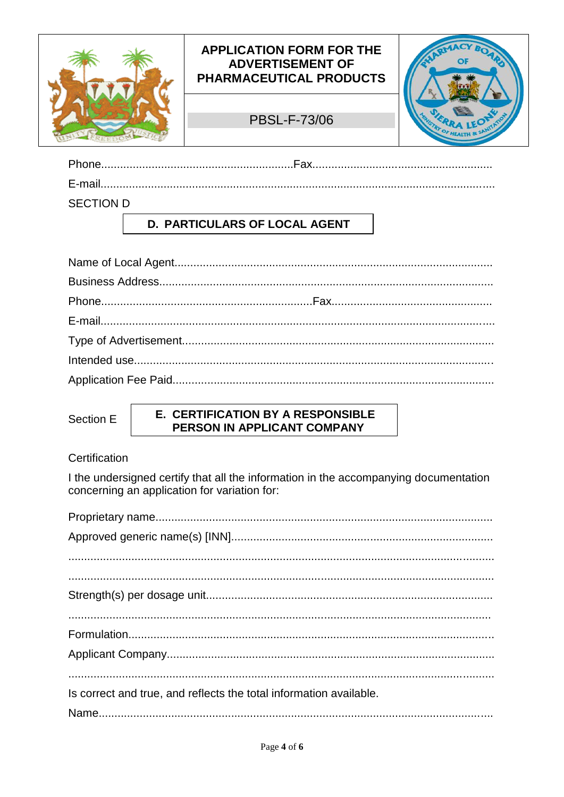

| SECTION D |  |
|-----------|--|

# **D. PARTICULARS OF LOCAL AGENT**

Section E

#### E. CERTIFICATION BY A RESPONSIBLE PERSON IN APPLICANT COMPANY

#### Certification

I the undersigned certify that all the information in the accompanying documentation concerning an application for variation for:

| Is correct and true, and reflects the total information available. |
|--------------------------------------------------------------------|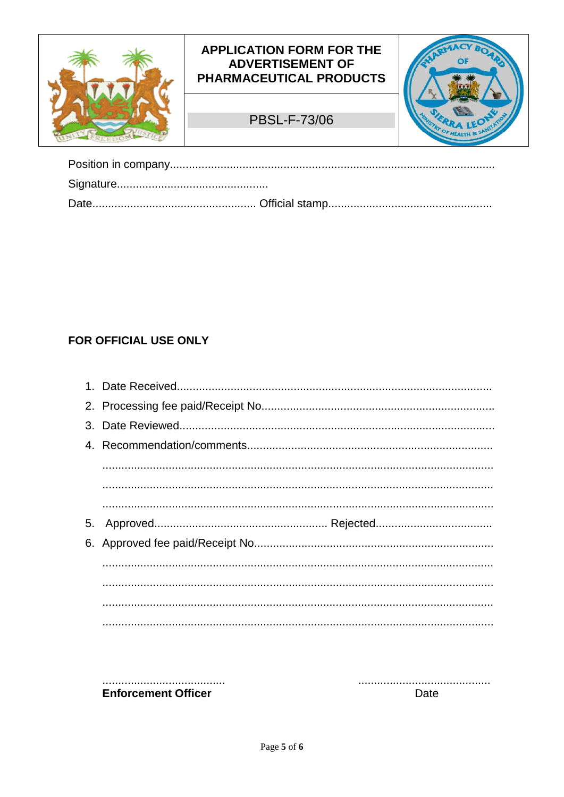

# FOR OFFICIAL USE ONLY

| $\begin{minipage}{0.5\textwidth} \begin{tabular}{ l l l } \hline \multicolumn{1}{ l l l } \hline \multicolumn{1}{ l l } \multicolumn{1}{ l } \multicolumn{1}{ l } \multicolumn{1}{ l } \multicolumn{1}{ l } \multicolumn{1}{ l } \multicolumn{1}{ l } \multicolumn{1}{ l } \multicolumn{1}{ l } \multicolumn{1}{ l } \multicolumn{1}{ l } \multicolumn{1}{ l } \multicolumn{1}{ l } \multicolumn{1}{ l } \multicolumn{1}{ l } \multicolumn$ |
|---------------------------------------------------------------------------------------------------------------------------------------------------------------------------------------------------------------------------------------------------------------------------------------------------------------------------------------------------------------------------------------------------------------------------------------------|
|                                                                                                                                                                                                                                                                                                                                                                                                                                             |
|                                                                                                                                                                                                                                                                                                                                                                                                                                             |

...................................... **Enforcement Officer** 

Date